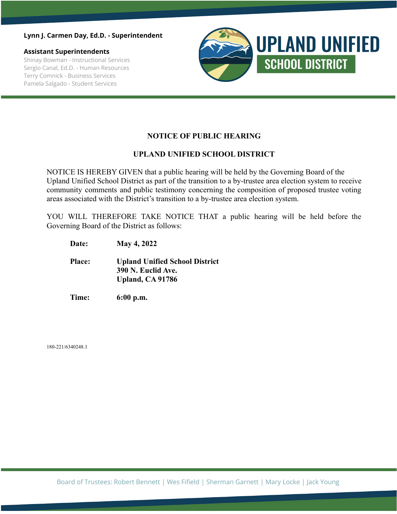#### **Lynn J. Carmen Day, Ed.D. - Superintendent**

**Assistant Superintendents** Shinay Bowman - Instructional Services Sergio Canal, Ed.D. - Human Resources Terry Comnick - Business Services Pamela Salgado - Student Services



### **NOTICE OF PUBLIC HEARING**

#### **UPLAND UNIFIED SCHOOL DISTRICT**

NOTICE IS HEREBY GIVEN that a public hearing will be held by the Governing Board of the Upland Unified School District as part of the transition to a by-trustee area election system to receive community comments and public testimony concerning the composition of proposed trustee voting areas associated with the District's transition to a by-trustee area election system.

YOU WILL THEREFORE TAKE NOTICE THAT a public hearing will be held before the Governing Board of the District as follows:

**Date: May 4, 2022**

**Place: Upland Unified School District 390 N. Euclid Ave. Upland, CA 91786**

**Time: 6:00 p.m.**

180-221/6340248.1